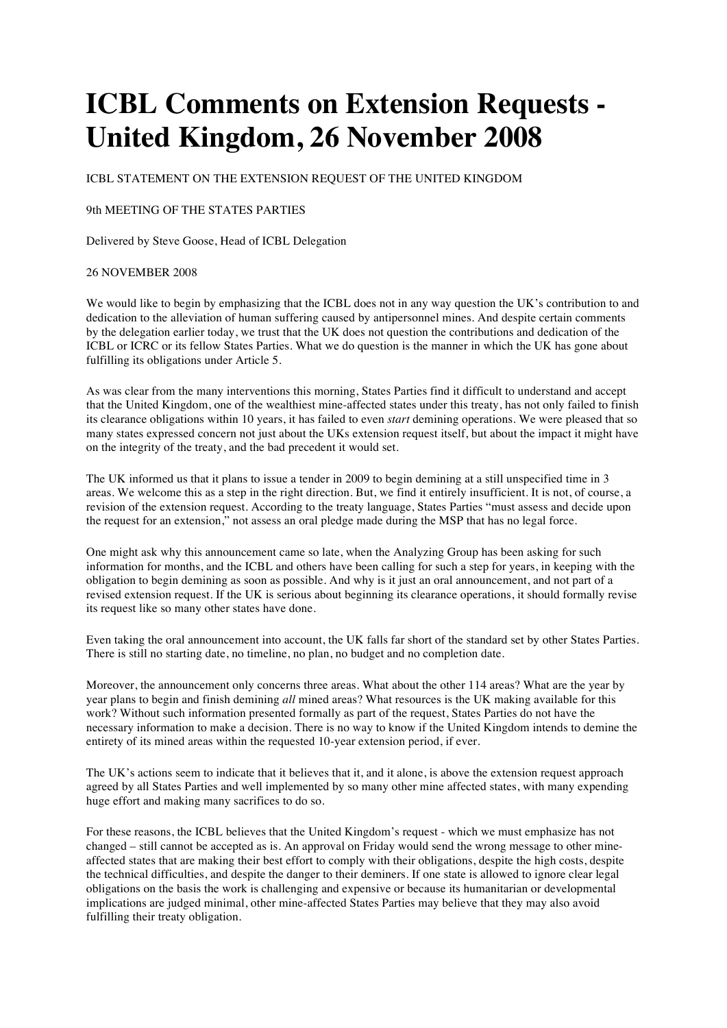## **ICBL Comments on Extension Requests - United Kingdom, 26 November 2008**

ICBL STATEMENT ON THE EXTENSION REQUEST OF THE UNITED KINGDOM

## 9th MEETING OF THE STATES PARTIES

Delivered by Steve Goose, Head of ICBL Delegation

## 26 NOVEMBER 2008

We would like to begin by emphasizing that the ICBL does not in any way question the UK's contribution to and dedication to the alleviation of human suffering caused by antipersonnel mines. And despite certain comments by the delegation earlier today, we trust that the UK does not question the contributions and dedication of the ICBL or ICRC or its fellow States Parties. What we do question is the manner in which the UK has gone about fulfilling its obligations under Article 5.

As was clear from the many interventions this morning, States Parties find it difficult to understand and accept that the United Kingdom, one of the wealthiest mine-affected states under this treaty, has not only failed to finish its clearance obligations within 10 years, it has failed to even *start* demining operations. We were pleased that so many states expressed concern not just about the UKs extension request itself, but about the impact it might have on the integrity of the treaty, and the bad precedent it would set.

The UK informed us that it plans to issue a tender in 2009 to begin demining at a still unspecified time in 3 areas. We welcome this as a step in the right direction. But, we find it entirely insufficient. It is not, of course, a revision of the extension request. According to the treaty language, States Parties "must assess and decide upon the request for an extension," not assess an oral pledge made during the MSP that has no legal force.

One might ask why this announcement came so late, when the Analyzing Group has been asking for such information for months, and the ICBL and others have been calling for such a step for years, in keeping with the obligation to begin demining as soon as possible. And why is it just an oral announcement, and not part of a revised extension request. If the UK is serious about beginning its clearance operations, it should formally revise its request like so many other states have done.

Even taking the oral announcement into account, the UK falls far short of the standard set by other States Parties. There is still no starting date, no timeline, no plan, no budget and no completion date.

Moreover, the announcement only concerns three areas. What about the other 114 areas? What are the year by year plans to begin and finish demining *all* mined areas? What resources is the UK making available for this work? Without such information presented formally as part of the request, States Parties do not have the necessary information to make a decision. There is no way to know if the United Kingdom intends to demine the entirety of its mined areas within the requested 10-year extension period, if ever.

The UK's actions seem to indicate that it believes that it, and it alone, is above the extension request approach agreed by all States Parties and well implemented by so many other mine affected states, with many expending huge effort and making many sacrifices to do so.

For these reasons, the ICBL believes that the United Kingdom's request - which we must emphasize has not changed – still cannot be accepted as is. An approval on Friday would send the wrong message to other mineaffected states that are making their best effort to comply with their obligations, despite the high costs, despite the technical difficulties, and despite the danger to their deminers. If one state is allowed to ignore clear legal obligations on the basis the work is challenging and expensive or because its humanitarian or developmental implications are judged minimal, other mine-affected States Parties may believe that they may also avoid fulfilling their treaty obligation.